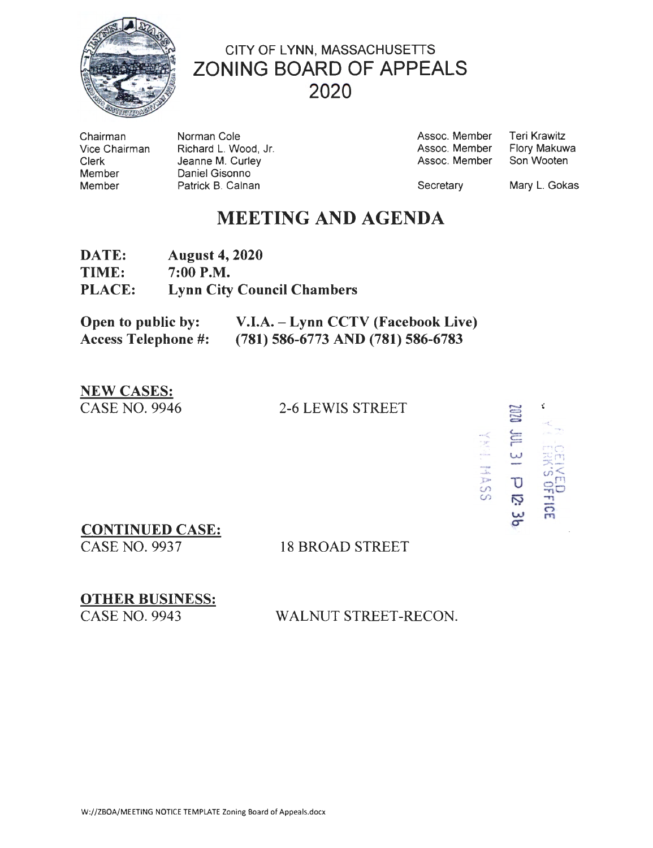

# CITY OF LYNN, MASSACHUSETTS **ZONING BOARD OF APPEALS** 2020

Chairman Vice Chairman **Clerk** Member Member

Norman Cole Richard L. Wood, Jr. Jeanne M. Curley Daniel Gisonno Patrick B. Calnan

**Teri Krawitz** Assoc. Member Assoc. Member Flory Makuwa Son Wooten Assoc. Member

Secretary

Mary L. Gokas

## **MEETING AND AGENDA**

| <b>DATE:</b>  | <b>August 4, 2020</b>             |
|---------------|-----------------------------------|
| <b>TIME:</b>  | $7:00$ P.M.                       |
| <b>PLACE:</b> | <b>Lynn City Council Chambers</b> |

| Open to public by:         | V.I.A. – Lynn CCTV (Facebook Live)  |
|----------------------------|-------------------------------------|
| <b>Access Telephone #:</b> | $(781)$ 586-6773 AND (781) 586-6783 |

#### **NEW CASES: CASE NO. 9946**

### **2-6 LEWIS STREET**

ť YHT. HASS  $\omega$  $31 - 25$  $\overline{5}$ 

**CONTINUED CASE:** 

**CASE NO. 9937** 

### **18 BROAD STREET**

**OTHER BUSINESS: CASE NO. 9943** 

WALNUT STREET-RECON.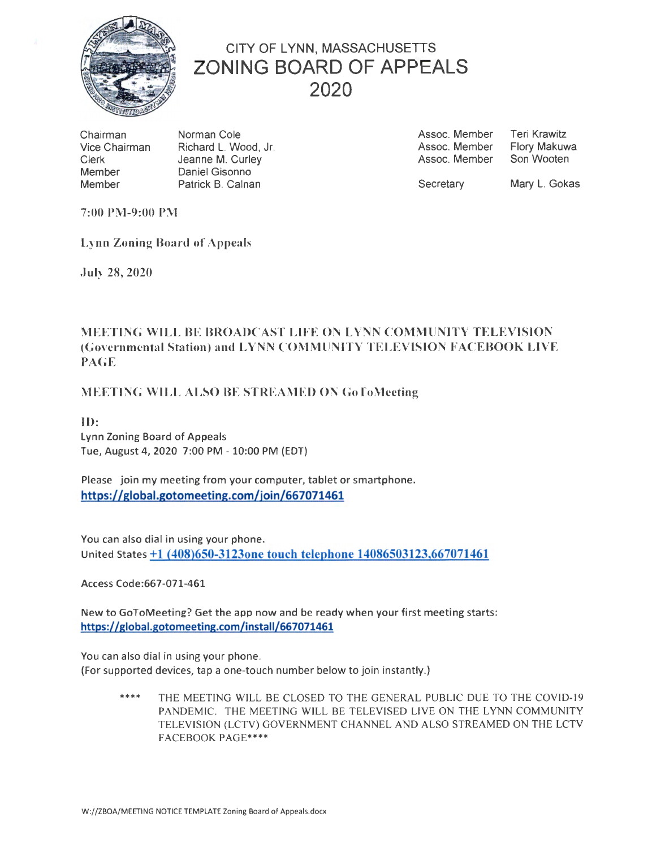

## CITY OF LYNN, MASSACHUSETTS ZONING BOARD OF APPEALS 2020

Chairman Vice Chairman Clerk Member Member

Norman Cole Richard L. Wood, Jr. Jeanne M. Curley Daniel Gisonno Patrick B. Calnan

Assoc. Member Assoc. Member Assoc. Member Teri Krawitz Flory Makuwa Son Wooten

**Secretary** 

Mary L. Gokas

7:00 PM-9:00 PM

Lynn Zoning Board of Appeals

July 28, 2020

### MEETING WILL BE BROADCAST LIFE ON LYNN COMMUNITY TELEVISION (Governmental Station) and LYNN COMMUNITY TELEVISION F ACEBOOK LIVE PAGE

#### MEETING WILL ALSO BE STREAMED ON GoToMeeting

ID: Lynn Zoning Board of Appeals Tue, August 4, 2020 7:00 PM - 10:00 PM (EDT)

Please join my meeting from your computer, tablet or smartphone. https://global.gotomeeting.com/join/667071461

You can also dial in using your phone. United States +1 (408)650-3123one touch telephone 14086503123,667071461

Access Code:667-071-461

New to GoToMeeting? Get the app now and be ready when your first meeting starts: https://global.gotomeeting.com/install/667071461

You can also dial in using your phone.

(For supported devices, tap a one-touch number below to join instantly.)

\*\*\*\* THE MEETING WILL BE CLOSED TO THE GENERAL PUBLIC DUE TO THE COVID-19 PANDEMIC. THE MEETING WILL BE TELEVISED LIVE ON THE LYNN COMMUNITY TELEVISION (LCTV) GOVERNMENT CHANNEL AND ALSO STREAMED ON THE LCTV FACEBOOK PAGE\*\*\*\*